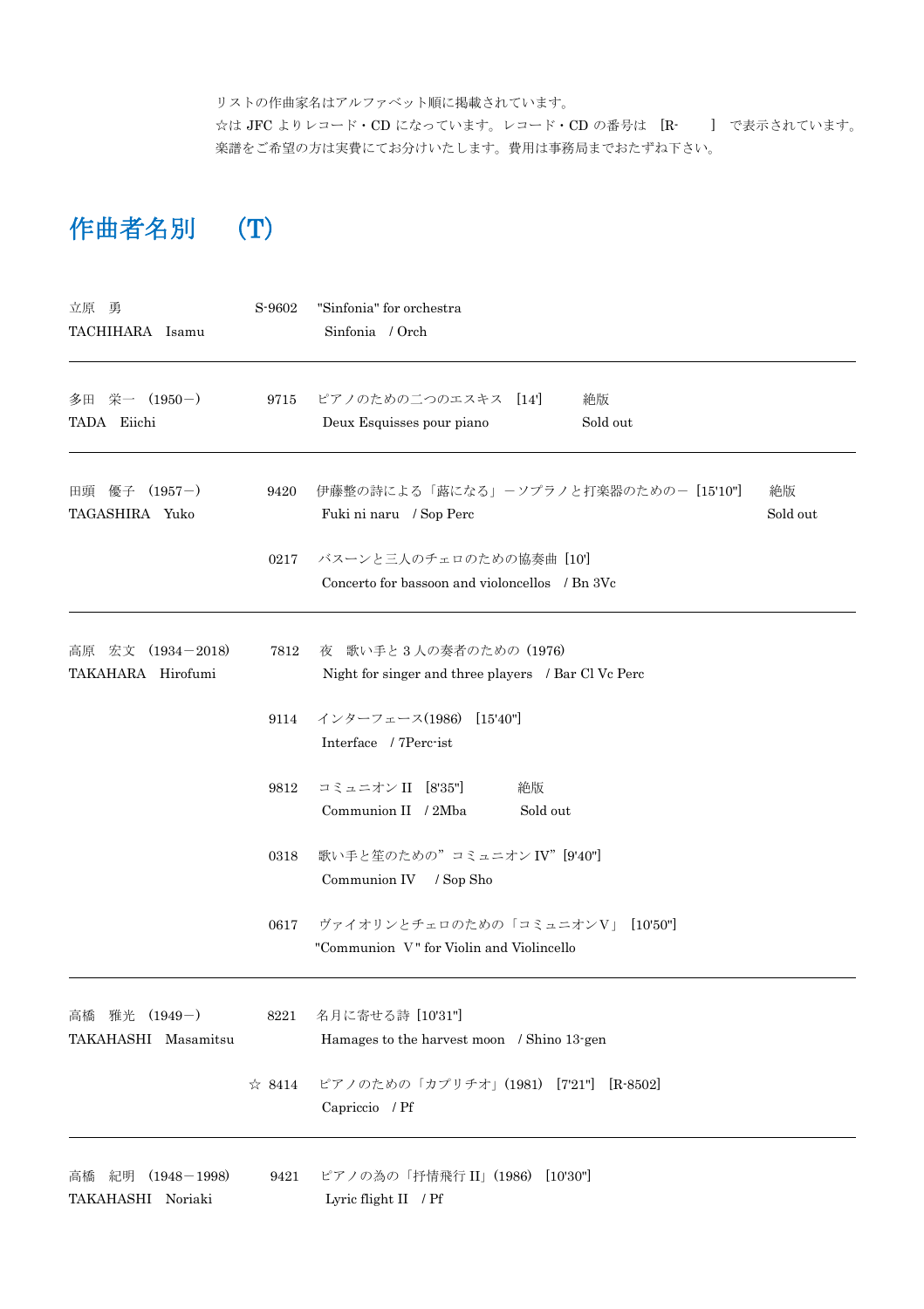リストの作曲家名はアルファベット順に掲載されています。

☆は JFC よりレコード・CD になっています。レコード・CD の番号は [R- ] で表示されています。 楽譜をご希望の方は実費にてお分けいたします。費用は事務局までおたずね下さい。

## 作曲者名別 (T)

| 立原 勇<br>TACHIHARA Isamu                          | S-9602         | "Sinfonia" for orchestra<br>Sinfonia / Orch                                        |  |
|--------------------------------------------------|----------------|------------------------------------------------------------------------------------|--|
| 多田 栄一 (1950-)<br>TADA Eiichi                     | 9715           | ピアノのための二つのエスキス [14]<br>絶版<br>Deux Esquisses pour piano<br>Sold out                 |  |
| $(1957-)$<br>優子<br>田頭<br>TAGASHIRA Yuko          | 9420           | 伊藤整の詩による「蕗になる」ーソプラノと打楽器のためのー [15'10"]<br>絶版<br>Fuki ni naru / Sop Perc<br>Sold out |  |
|                                                  | 0217           | バスーンと三人のチェロのための協奏曲 [10]<br>Concerto for bassoon and violoncellos / Bn 3Vc          |  |
| $(1934 - 2018)$<br>宏文<br>高原<br>TAKAHARA Hirofumi | 7812           | 夜 歌い手と3人の奏者のための (1976)<br>Night for singer and three players / Bar Cl Vc Perc      |  |
|                                                  | 9114           | インターフェース(1986) [15'40"]<br>Interface / 7Perc-ist                                   |  |
|                                                  | 9812           | コミュニオン II [8'35"]<br>絶版<br>Communion II / 2Mba<br>Sold out                         |  |
|                                                  | 0318           | 歌い手と笙のための"コミュニオン IV"[9'40"]<br>Communion IV / Sop Sho                              |  |
|                                                  | 0617           | ヴァイオリンとチェロのための「コミュニオンV」 [10'50"]<br>"Communion V" for Violin and Violincello       |  |
| 雅光 (1949-)<br>高橋<br>TAKAHASHI Masamitsu          | 8221           | 名月に寄せる詩 [10'31"]<br>Hamages to the harvest moon / Shino 13-gen                     |  |
|                                                  | $\approx$ 8414 | ピアノのための「カプリチオ」(1981) [721"]<br>$[R-8502]$<br>Capriccio / Pf                        |  |
| 紀明<br>$(1948 - 1998)$<br>高橋<br>TAKAHASHI Noriaki | 9421           | ピアノの為の「抒情飛行 II」(1986) [10'30"]<br>Lyric flight II / Pf                             |  |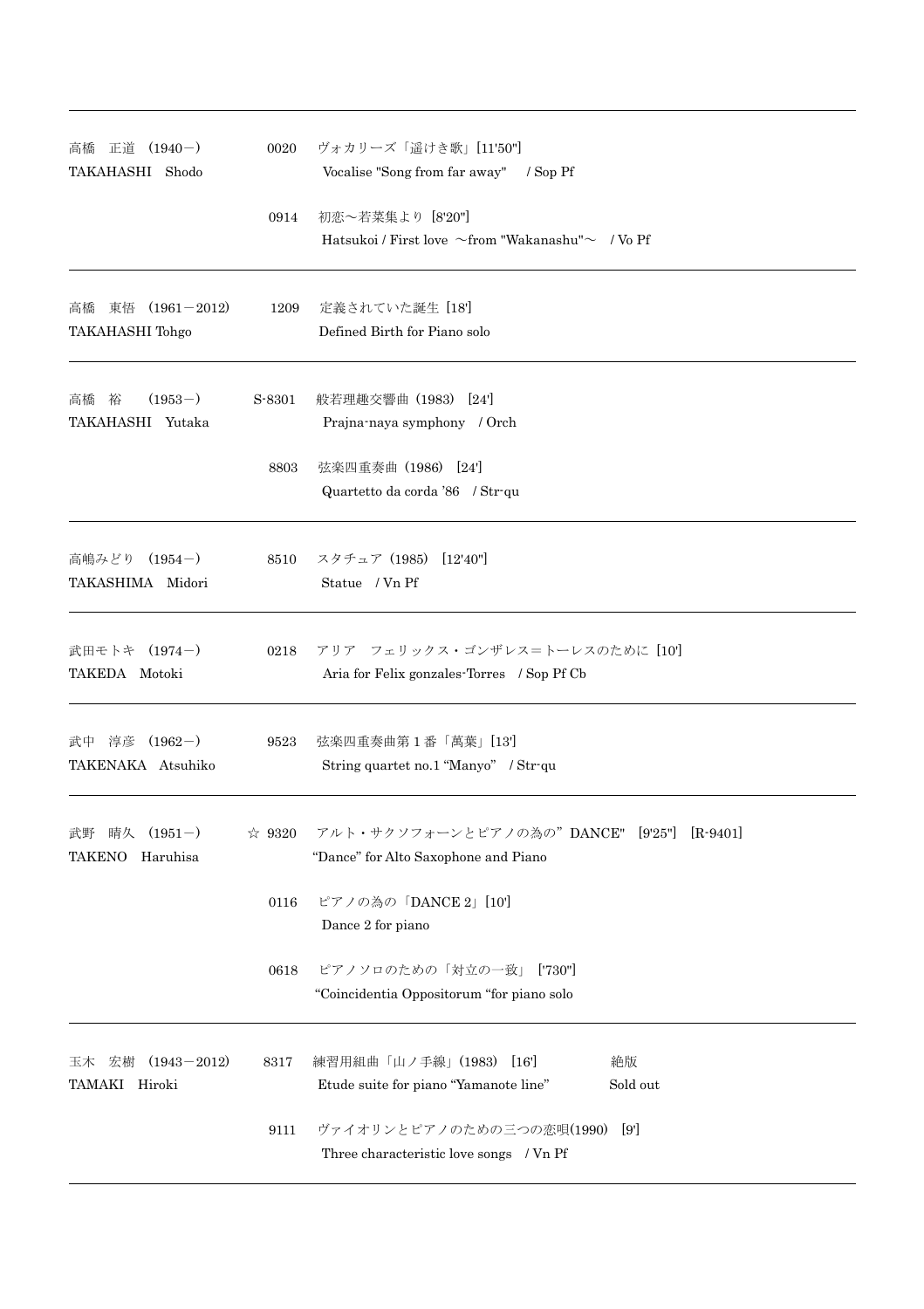| 正道 (1940-)<br>高橋<br>TAKAHASHI Shodo                | 0020           | ヴォカリーズ「遥けき歌」[11'50"]<br>Vocalise "Song from far away" / Sop Pf                          |
|----------------------------------------------------|----------------|-----------------------------------------------------------------------------------------|
|                                                    | 0914           | 初恋~若菜集より [8'20"]<br>Hatsukoi / First love $\sim$ from "Wakanashu" $\sim$ / Vo Pf        |
| 東悟 (1961-2012)<br>高橋<br><b>TAKAHASHI</b> Tohgo     | 1209           | 定義されていた誕生 [18]<br>Defined Birth for Piano solo                                          |
| $(1953-)$<br>高橋 裕<br>TAKAHASHI Yutaka              | S-8301         | 般若理趣交響曲 (1983) [24]<br>Prajna-naya symphony / Orch                                      |
|                                                    | 8803           | 弦楽四重奏曲 (1986) [24]<br>Quartetto da corda '86 / Str-qu                                   |
| 高嶋みどり (1954-)<br>TAKASHIMA Midori                  | 8510           | スタチュア(1985) [12'40"]<br>Statue / Vn Pf                                                  |
| 武田モトキ (1974-)<br>TAKEDA Motoki                     | 0218           | アリア フェリックス・ゴンザレス=トーレスのために [10]<br>Aria for Felix gonzales Torres / Sop Pf Cb            |
| 淳彦 (1962-)<br>武中<br>TAKENAKA Atsuhiko              | 9523           | 弦楽四重奏曲第1番「萬葉」[13]<br>String quartet no.1 "Manyo" / Str-qu                               |
| $(1951-)$<br>晴久<br>武野<br><b>TAKENO</b><br>Haruhisa | $\approx 9320$ | アルト・サクソフォーンとピアノの為の"DANCE" [9'25"]<br>$[R-9401]$<br>"Dance" for Alto Saxophone and Piano |
|                                                    | 0116           | ピアノの為の「DANCE 2」[10']<br>Dance 2 for piano                                               |
|                                                    | 0618           | ピアノソロのための「対立の一致」 ['730"]<br>"Coincidentia Oppositorum "for piano solo                   |
| $(1943 - 2012)$<br>宏樹<br>玉木<br>TAMAKI Hiroki       | 8317           | 練習用組曲「山ノ手線」(1983)<br>絶版<br>[16]<br>Etude suite for piano "Yamanote line"<br>Sold out    |
|                                                    | 9111           | ヴァイオリンとピアノのための三つの恋唄(1990)<br>[9]<br>Three characteristic love songs / Vn Pf             |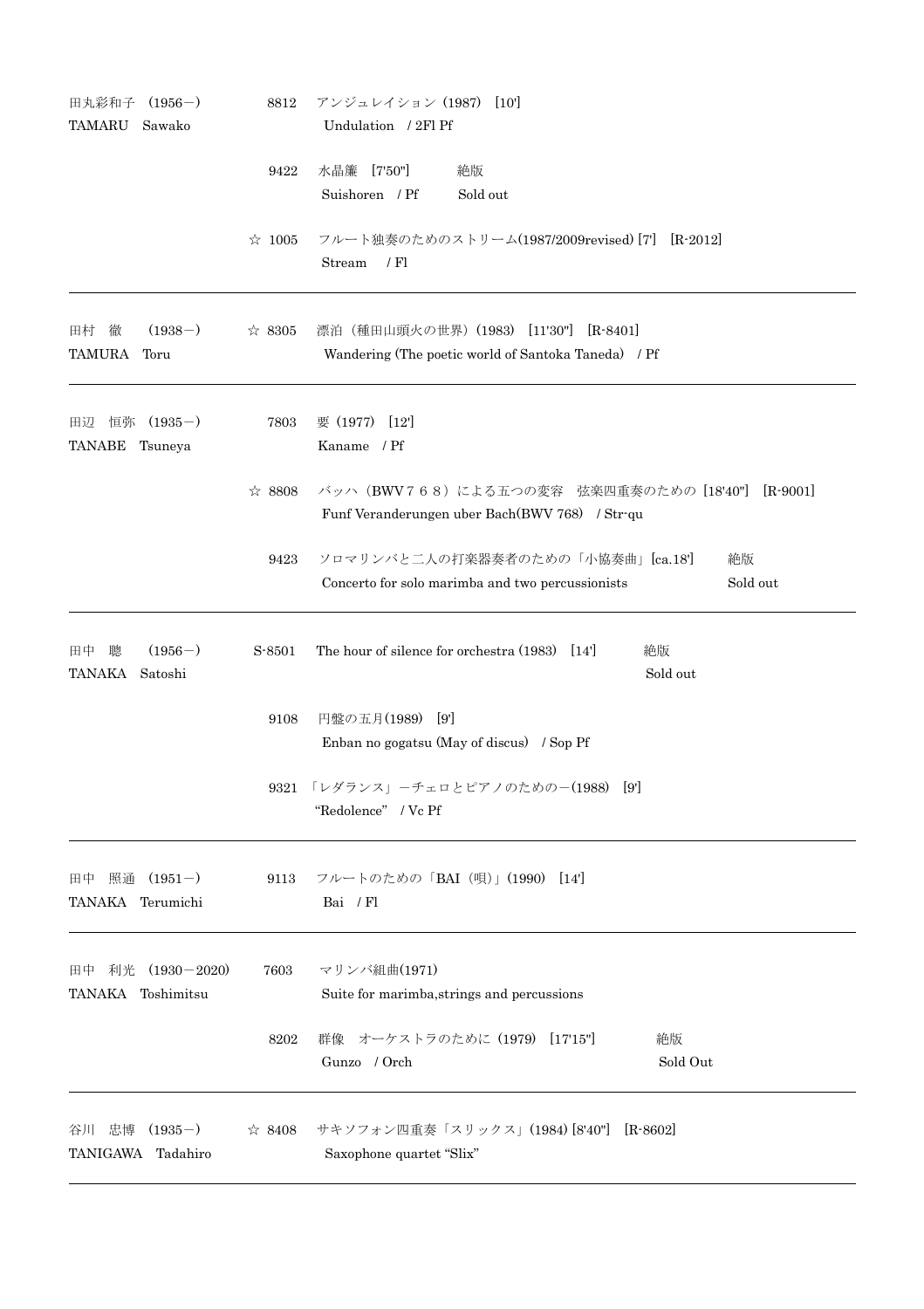| 田丸彩和子                                             | $(1956-)$         | 8812                                                                                                     | アンジュレイション (1987)<br>[10]                                                                           |
|---------------------------------------------------|-------------------|----------------------------------------------------------------------------------------------------------|----------------------------------------------------------------------------------------------------|
| <b>TAMARU</b>                                     | Sawako            |                                                                                                          | Undulation / 2Fl Pf                                                                                |
|                                                   |                   | 9422                                                                                                     | 水晶簾 [7'50"]<br>絶版<br>Suishoren / Pf<br>Sold out                                                    |
|                                                   |                   | $\approx 1005$                                                                                           | フルート独奏のためのストリーム(1987/2009revised) [7] [R-2012]<br>Stream<br>$/$ Fl                                 |
| 徹<br>田村<br><b>TAMURA</b>                          | $(1938-)$<br>Toru | ☆ 8305                                                                                                   | 漂泊(種田山頭火の世界)(1983) [11'30"]<br>$[R - 8401]$<br>Wandering (The poetic world of Santoka Taneda) / Pf |
| $(1935-)$<br>恒弥<br>田辺<br><b>TANABE</b><br>Tsuneya | 7803              | 要 (1977)<br>[12]<br>Kaname / Pf                                                                          |                                                                                                    |
|                                                   | ☆ 8808            | バッハ (BWV768) による五つの変容 弦楽四重奏のための [18'40"]<br>$[R-9001]$<br>Funf Veranderungen uber Bach(BWV 768) / Str-qu |                                                                                                    |
|                                                   | 9423              | ソロマリンバと二人の打楽器奏者のための「小協奏曲」[ca.18']<br>絶版<br>Sold out<br>Concerto for solo marimba and two percussionists  |                                                                                                    |
| $(1956-)$<br>田中<br>聰<br>TANAKA Satoshi            | S-8501            | The hour of silence for orchestra (1983)<br>絶版<br>[14]<br>Sold out                                       |                                                                                                    |
|                                                   |                   | 9108                                                                                                     | 円盤の五月(1989) [9]<br>Enban no gogatsu (May of discus) / Sop Pf                                       |
|                                                   |                   | 9321 「レダランス」ーチェロとピアノのための一(1988)<br>[9]<br>"Redolence" / Vc Pf                                            |                                                                                                    |
| 田中 照通<br>TANAKA Terumichi                         | $(1951-)$         |                                                                                                          | 9113 フルートのための「BAI (唄)」(1990) [14]<br>Bai / Fl                                                      |
| 利光 (1930-2020)<br>田中<br>TANAKA Toshimitsu         | 7603              | マリンバ組曲(1971)<br>Suite for marimba, strings and percussions                                               |                                                                                                    |
|                                                   |                   | 8202                                                                                                     | 群像 オーケストラのために (1979) [17'15"]<br>絶版<br>Gunzo / Orch<br>Sold Out                                    |
| 谷川 忠博<br>TANIGAWA Tadahiro                        | $(1935-)$         |                                                                                                          | ☆ 8408 サキソフォン四重奏「スリックス」(1984) [8'40"] [R-8602]<br>Saxophone quartet "Slix"                         |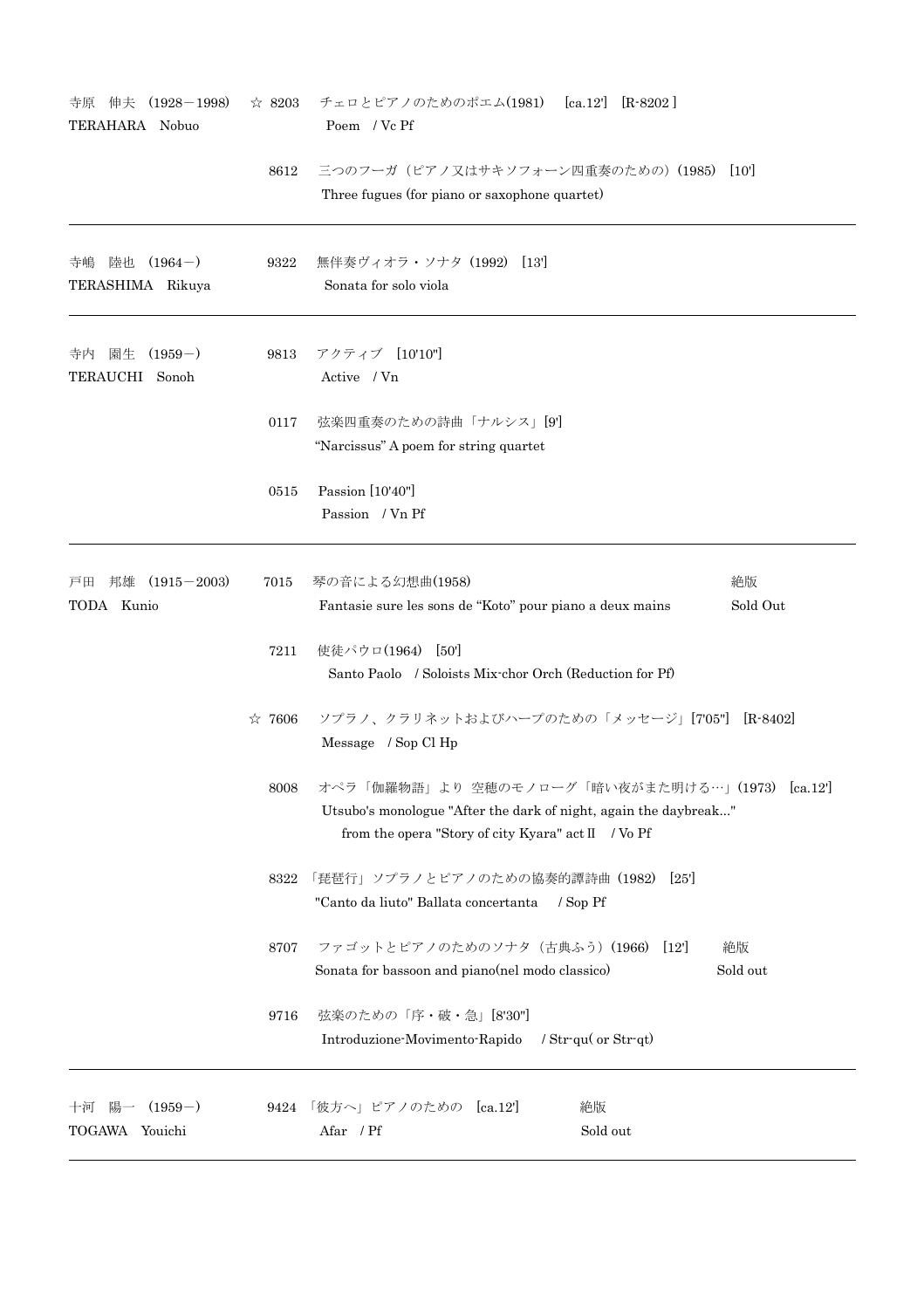| 伸夫<br>$(1928 - 1998)$<br>寺原<br>TERAHARA Nobuo | $\approx$ 8203 | チェロとピアノのためのポエム(1981) [ca.12] [R-8202]<br>Poem / Vc Pf                                                                                                               |                  |
|-----------------------------------------------|----------------|---------------------------------------------------------------------------------------------------------------------------------------------------------------------|------------------|
|                                               | 8612           | 三つのフーガ (ピアノ又はサキソフォーン四重奏のための) (1985)<br>Three fugues (for piano or saxophone quartet)                                                                                | [10]             |
| 陸也 (1964-)<br>寺嶋<br>TERASHIMA Rikuya          | 9322           | 無伴奏ヴィオラ・ソナタ (1992) [13]<br>Sonata for solo viola                                                                                                                    |                  |
| 園生<br>$(1959-)$<br>寺内<br>TERAUCHI Sonoh       | 9813           | アクティブ [10'10"]<br>Active / Vn                                                                                                                                       |                  |
|                                               | 0117           | 弦楽四重奏のための詩曲「ナルシス」[9']<br>"Narcissus" A poem for string quartet                                                                                                      |                  |
|                                               | 0515           | Passion [10'40"]<br>Passion / Vn Pf                                                                                                                                 |                  |
| 邦雄<br>$(1915 - 2003)$<br>戸田<br>TODA Kunio     | 7015           | 琴の音による幻想曲(1958)<br>Fantasie sure les sons de "Koto" pour piano a deux mains                                                                                         | 絶版<br>Sold Out   |
|                                               | 7211           | 使徒パウロ(1964)<br>[50]<br>Santo Paolo / Soloists Mix-chor Orch (Reduction for Pf)                                                                                      |                  |
|                                               | $\approx 7606$ | ソプラノ、クラリネットおよびハープのための「メッセージ」[705"] [R-8402]<br>Message / Sop Cl Hp                                                                                                  |                  |
|                                               | 8008           | オペラ「伽羅物語」より 空穂のモノローグ「暗い夜がまた明ける…」(1973)<br>Utsubo's monologue "After the dark of night, again the daybreak"<br>from the opera "Story of city Kyara" act $II$ / Vo Pf | $[\text{ca}.12]$ |
|                                               | 8322           | 「琵琶行」ソプラノとピアノのための協奏的譚詩曲 (1982)<br>[25]<br>"Canto da liuto" Ballata concertanta / Sop Pf                                                                             |                  |
|                                               | 8707           | ファゴットとピアノのためのソナタ (古典ふう) (1966) [12]<br>Sonata for bassoon and piano(nel modo classico)                                                                              | 絶版<br>Sold out   |
|                                               | 9716           | 弦楽のための「序・破・急」[8'30"]<br>Introduzione-Movimento-Rapido<br>/ $Str$ -qu( or $Str$ -qt)                                                                                 |                  |
| 陽一<br>$(1959-)$<br>十河<br>TOGAWA Youichi       |                | 9424 「彼方へ」ピアノのための [ca.12']<br>絶版<br>Afar / Pf<br>Sold out                                                                                                           |                  |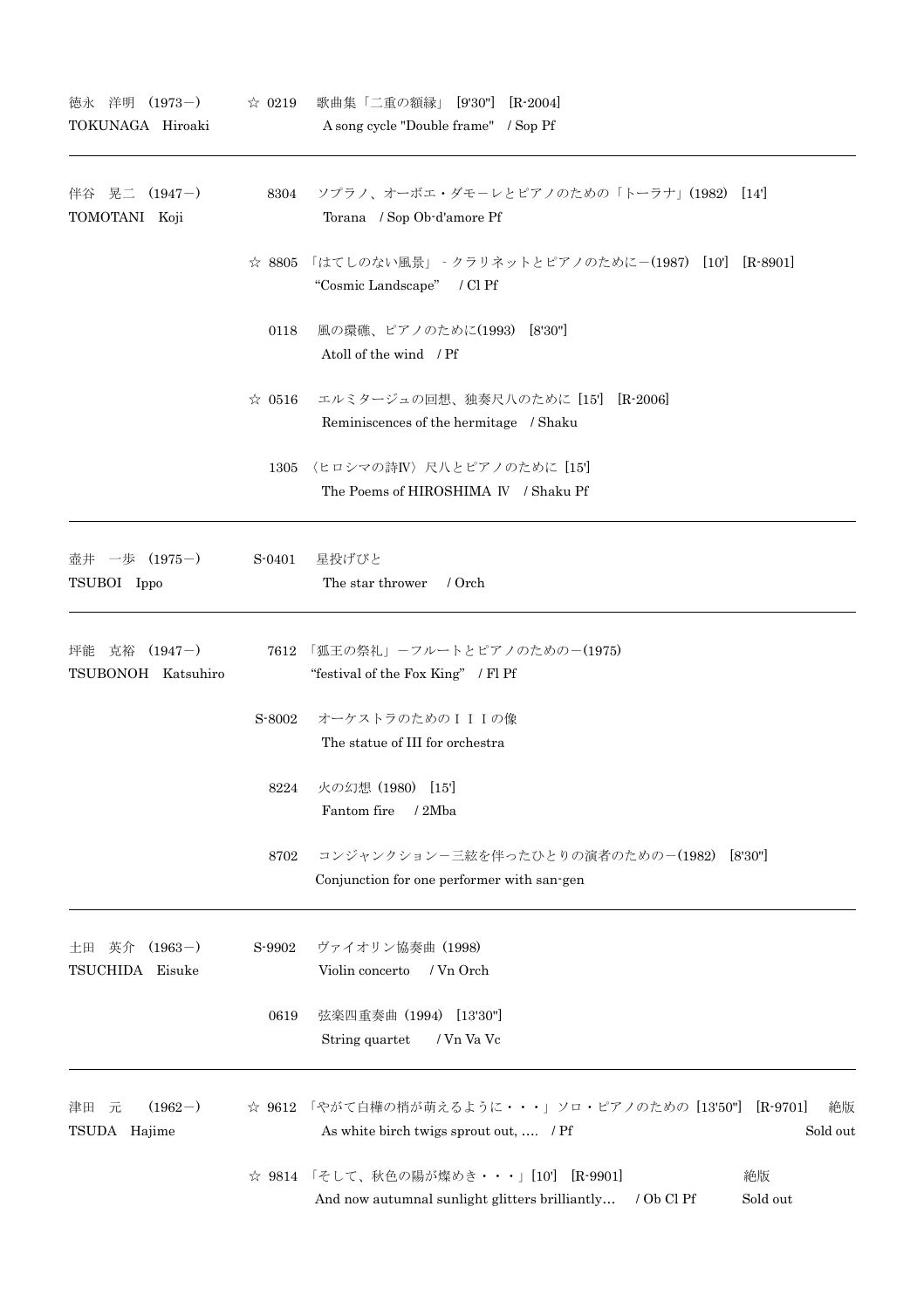| $(1973-)$<br>徳永 洋明<br>TOKUNAGA Hiroaki      | $\approx 0219$ | 歌曲集「二重の額縁」 [9'30"] [R-2004]<br>A song cycle "Double frame" / Sop Pf                                                      |
|---------------------------------------------|----------------|--------------------------------------------------------------------------------------------------------------------------|
| 伴谷 晃二 (1947-)<br>TOMOTANI Koji              | 8304           | ソプラノ、オーボエ・ダモーレとピアノのための「トーラナ」(1982) [14]<br>Torana / Sop Ob-d'amore Pf                                                    |
|                                             | $\approx 8805$ | 「はてしのない風景」‐クラリネットとピアノのために-(1987) [10'] [R–8901]<br>"Cosmic Landscape" / Cl Pf                                            |
|                                             | 0118           | 風の環礁、ピアノのために(1993) [8'30"]<br>Atoll of the wind / Pf                                                                     |
|                                             | $\approx 0516$ | エルミタージュの回想、独奏尺八のために [15] [R-2006]<br>Reminiscences of the hermitage / Shaku                                              |
|                                             | 1305           | 〈ヒロシマの詩IV〉尺八とピアノのために [15']<br>The Poems of HIROSHIMA IV / Shaku Pf                                                       |
| 壺井 一歩 (1975-)<br>TSUBOI Ippo                | S-0401         | 星投げびと<br>The star thrower<br>/ Orch                                                                                      |
| $(1947-)$<br>坪能<br>克裕<br>TSUBONOH Katsuhiro |                | 7612 「狐王の祭礼」-フルートとピアノのための-(1975)<br>"festival of the Fox King" / Fl Pf                                                   |
|                                             | S-8002         | オーケストラのためのIIIの像<br>The statue of III for orchestra                                                                       |
|                                             | 8224           | 火の幻想 (1980)<br>[15]<br>Fantom fire<br>/2Mba                                                                              |
|                                             | 8702           | コンジャンクションー三絃を伴ったひとりの演者のためのー(1982)<br>[8'30"]<br>Conjunction for one performer with san-gen                               |
| $(1963-)$<br>英介<br>土田<br>TSUCHIDA Eisuke    | S-9902         | ヴァイオリン協奏曲 (1998)<br>Violin concerto<br>/ Vn Orch                                                                         |
|                                             | 0619           | 弦楽四重奏曲 (1994) [13'30"]<br>String quartet<br>/ Vn Va Vc                                                                   |
| $(1962-)$<br>津田<br>元<br>TSUDA Hajime        |                | ☆ 9612 「やがて白樺の梢が萌えるように・・・」ソロ・ピアノのための [13'50'']<br>$[R-9701]$<br>絶版<br>Sold out<br>As white birch twigs sprout out,  / Pf |
|                                             |                | ☆ 9814 「そして、秋色の陽が燦めき・・・」[10'] [R-9901]<br>絶版<br>Sold out<br>And now autumnal sunlight glitters brilliantly<br>/ Ob Cl Pf |